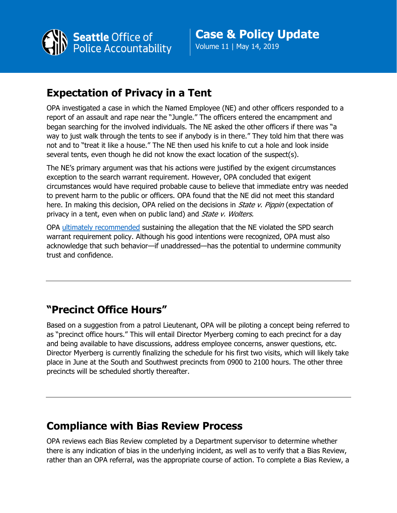

Volume 11 | May 14, 2019

## **Expectation of Privacy in a Tent**

OPA investigated a case in which the Named Employee (NE) and other officers responded to a report of an assault and rape near the "Jungle." The officers entered the encampment and began searching for the involved individuals. The NE asked the other officers if there was "a way to just walk through the tents to see if anybody is in there." They told him that there was not and to "treat it like a house." The NE then used his knife to cut a hole and look inside several tents, even though he did not know the exact location of the suspect(s).

The NE's primary argument was that his actions were justified by the exigent circumstances exception to the search warrant requirement. However, OPA concluded that exigent circumstances would have required probable cause to believe that immediate entry was needed to prevent harm to the public or officers. OPA found that the NE did not meet this standard here. In making this decision, OPA relied on the decisions in *State v. Pippin* (expectation of privacy in a tent, even when on public land) and *State v. Wolters.* 

OPA [ultimately recommended](http://www.seattle.gov/Documents/Departments/OPA/ClosedCaseSummaries/2018OPA-0642ccs01-03-19.pdf) sustaining the allegation that the NE violated the SPD search warrant requirement policy. Although his good intentions were recognized, OPA must also acknowledge that such behavior—if unaddressed—has the potential to undermine community trust and confidence.

## **"Precinct Office Hours"**

Based on a suggestion from a patrol Lieutenant, OPA will be piloting a concept being referred to as "precinct office hours." This will entail Director Myerberg coming to each precinct for a day and being available to have discussions, address employee concerns, answer questions, etc. Director Myerberg is currently finalizing the schedule for his first two visits, which will likely take place in June at the South and Southwest precincts from 0900 to 2100 hours. The other three precincts will be scheduled shortly thereafter.

## **Compliance with Bias Review Process**

OPA reviews each Bias Review completed by a Department supervisor to determine whether there is any indication of bias in the underlying incident, as well as to verify that a Bias Review, rather than an OPA referral, was the appropriate course of action. To complete a Bias Review, a